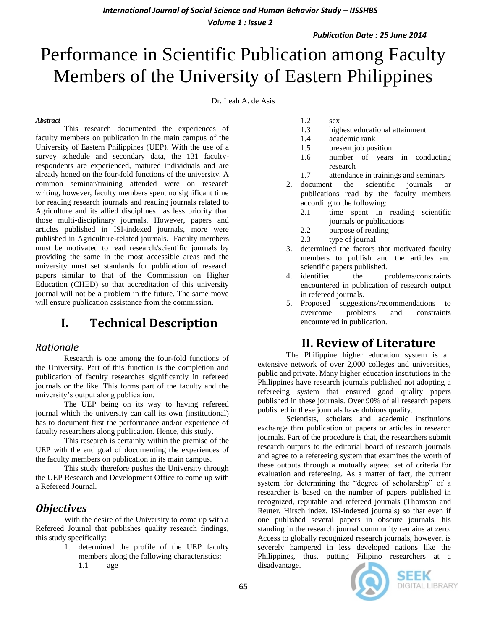*International Journal of Social Science and Human Behavior Study – IJSSHBS*

*Volume 1 : Issue 2*

*Publication Date : 25 June 2014*

# Performance in Scientific Publication among Faculty Members of the University of Eastern Philippines

Dr. Leah A. de Asis

#### *Abstract*

This research documented the experiences of faculty members on publication in the main campus of the University of Eastern Philippines (UEP). With the use of a survey schedule and secondary data, the 131 facultyrespondents are experienced, matured individuals and are already honed on the four-fold functions of the university. A common seminar/training attended were on research writing, however, faculty members spent no significant time for reading research journals and reading journals related to Agriculture and its allied disciplines has less priority than those multi-disciplinary journals. However, papers and articles published in ISI-indexed journals, more were published in Agriculture-related journals. Faculty members must be motivated to read research/scientific journals by providing the same in the most accessible areas and the university must set standards for publication of research papers similar to that of the Commission on Higher Education (CHED) so that accreditation of this university journal will not be a problem in the future. The same move will ensure publication assistance from the commission.

# **I. Technical Description**

### *Rationale*

Research is one among the four-fold functions of the University. Part of this function is the completion and publication of faculty researches significantly in refereed journals or the like. This forms part of the faculty and the university's output along publication.

The UEP being on its way to having refereed journal which the university can call its own (institutional) has to document first the performance and/or experience of faculty researchers along publication. Hence, this study.

This research is certainly within the premise of the UEP with the end goal of documenting the experiences of the faculty members on publication in its main campus.

This study therefore pushes the University through the UEP Research and Development Office to come up with a Refereed Journal.

## *Objectives*

With the desire of the University to come up with a Refereed Journal that publishes quality research findings, this study specifically:

- 1. determined the profile of the UEP faculty members along the following characteristics:
	- 1.1 age
- 1.2 sex
- 1.3 highest educational attainment
- 1.4 academic rank
- 1.5 present job position
- 1.6 number of years in conducting research
- 1.7 attendance in trainings and seminars
- 2. document the scientific journals or publications read by the faculty members according to the following:
	- 2.1 time spent in reading scientific journals or publications
	- 2.2 purpose of reading
	- 2.3 type of journal
- 3. determined the factors that motivated faculty members to publish and the articles and scientific papers published.
- 4. identified the problems/constraints encountered in publication of research output in refereed journals.
- 5. Proposed suggestions/recommendations to overcome problems and constraints encountered in publication.

# **II. Review of Literature**

The Philippine higher education system is an extensive network of over 2,000 colleges and universities, public and private. Many higher education institutions in the Philippines have research journals published not adopting a refereeing system that ensured good quality papers published in these journals. Over 90% of all research papers published in these journals have dubious quality.

Scientists, scholars and academic institutions exchange thru publication of papers or articles in research journals. Part of the procedure is that, the researchers submit research outputs to the editorial board of research journals and agree to a refereeing system that examines the worth of these outputs through a mutually agreed set of criteria for evaluation and refereeing. As a matter of fact, the current system for determining the "degree of scholarship" of a researcher is based on the number of papers published in recognized, reputable and refereed journals (Thomson and Reuter, Hirsch index, ISI-indexed journals) so that even if one published several papers in obscure journals, his standing in the research journal community remains at zero. Access to globally recognized research journals, however, is severely hampered in less developed nations like the Philippines, thus, putting Filipino researchers at a disadvantage.



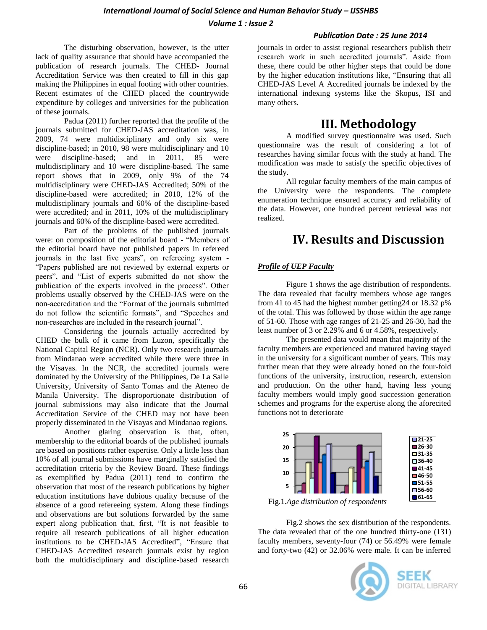#### *Publication Date : 25 June 2014*

The disturbing observation, however, is the utter lack of quality assurance that should have accompanied the publication of research journals. The CHED- Journal Accreditation Service was then created to fill in this gap making the Philippines in equal footing with other countries. Recent estimates of the CHED placed the countrywide expenditure by colleges and universities for the publication of these journals.

Padua (2011) further reported that the profile of the journals submitted for CHED-JAS accreditation was, in 2009, 74 were multidisciplinary and only six were discipline-based; in 2010, 98 were multidisciplinary and 10 were discipline-based; and in 2011, 85 were multidisciplinary and 10 were discipline-based. The same report shows that in 2009, only 9% of the 74 multidisciplinary were CHED-JAS Accredited; 50% of the discipline-based were accredited; in 2010, 12% of the multidisciplinary journals and 60% of the discipline-based were accredited; and in 2011, 10% of the multidisciplinary journals and 60% of the discipline-based were accredited.

Part of the problems of the published journals were: on composition of the editorial board - "Members of the editorial board have not published papers in refereed journals in the last five years", on refereeing system - "Papers published are not reviewed by external experts or peers", and "List of experts submitted do not show the publication of the experts involved in the process". Other problems usually observed by the CHED-JAS were on the non-accreditation and the "Format of the journals submitted do not follow the scientific formats", and "Speeches and non-researches are included in the research journal".

Considering the journals actually accredited by CHED the bulk of it came from Luzon, specifically the National Capital Region (NCR). Only two research journals from Mindanao were accredited while there were three in the Visayas. In the NCR, the accredited journals were dominated by the University of the Philippines, De La Salle University, University of Santo Tomas and the Ateneo de Manila University. The disproportionate distribution of journal submissions may also indicate that the Journal Accreditation Service of the CHED may not have been properly disseminated in the Visayas and Mindanao regions.

Another glaring observation is that, often, membership to the editorial boards of the published journals are based on positions rather expertise. Only a little less than 10% of all journal submissions have marginally satisfied the accreditation criteria by the Review Board. These findings as exemplified by Padua (2011) tend to confirm the observation that most of the research publications by higher education institutions have dubious quality because of the absence of a good refereeing system. Along these findings and observations are but solutions forwarded by the same expert along publication that, first, "It is not feasible to require all research publications of all higher education institutions to be CHED-JAS Accredited", "Ensure that CHED-JAS Accredited research journals exist by region both the multidisciplinary and discipline-based research journals in order to assist regional researchers publish their research work in such accredited journals". Aside from these, there could be other higher steps that could be done by the higher education institutions like, "Ensuring that all CHED-JAS Level A Accredited journals be indexed by the international indexing systems like the Skopus, ISI and many others.

# **III. Methodology**

A modified survey questionnaire was used. Such questionnaire was the result of considering a lot of researches having similar focus with the study at hand. The modification was made to satisfy the specific objectives of the study.

All regular faculty members of the main campus of the University were the respondents. The complete enumeration technique ensured accuracy and reliability of the data. However, one hundred percent retrieval was not realized.

# **IV. Results and Discussion**

### *Profile of UEP Faculty*

Figure 1 shows the age distribution of respondents. The data revealed that faculty members whose age ranges from 41 to 45 had the highest number getting24 or 18.32 p% of the total. This was followed by those within the age range of 51-60. Those with age ranges of 21-25 and 26-30, had the least number of 3 or 2.29% and 6 or 4.58%, respectively.

The presented data would mean that majority of the faculty members are experienced and matured having stayed in the university for a significant number of years. This may further mean that they were already honed on the four-fold functions of the university, instruction, research, extension and production. On the other hand, having less young faculty members would imply good succession generation schemes and programs for the expertise along the aforecited functions not to deteriorate



**0 61-65** Fig.1.*Age distribution of respondents*

Fig.2 shows the sex distribution of the respondents. The data revealed that of the one hundred thirty-one (131) faculty members, seventy-four (74) or 56.49% were female and forty-two (42) or 32.06% were male. It can be inferred

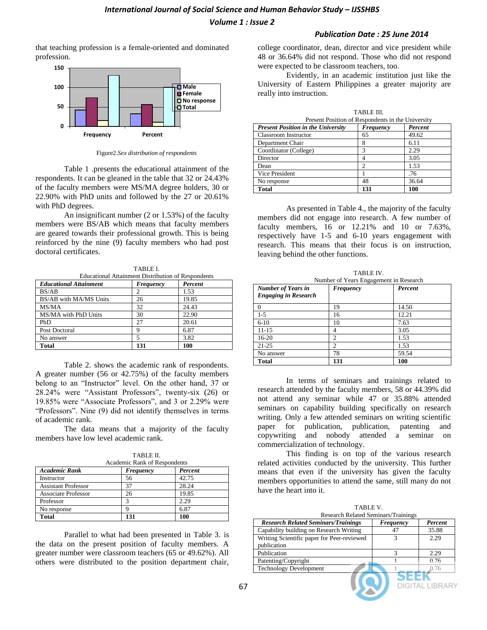#### *Publication Date : 25 June 2014*

that teaching profession is a female-oriented and dominated profession.



Figure2.*Sex distribution of respondents*

Table 1 .presents the educational attainment of the respondents. It can be gleaned in the table that 32 or 24.43% of the faculty members were MS/MA degree holders, 30 or 22.90% with PhD units and followed by the 27 or 20.61% with PhD degrees.

An insignificant number (2 or 1.53%) of the faculty members were BS/AB which means that faculty members are geared towards their professional growth. This is being reinforced by the nine (9) faculty members who had post doctoral certificates.

TABLE I. Educational Attainment Distribution of Respondents

| <b>Educational Attainment</b> | Frequency | Percent |
|-------------------------------|-----------|---------|
| BS/AB                         |           | 1.53    |
| BS/AB with MA/MS Units        | 26        | 19.85   |
| MS/MA                         | 32        | 24.43   |
| MS/MA with PhD Units          | 30        | 22.90   |
| PhD                           | 27        | 20.61   |
| Post Doctoral                 |           | 6.87    |
| No answer                     |           | 3.82    |
| <b>Total</b>                  | 131       | 100     |

Table 2. shows the academic rank of respondents. A greater number (56 or 42.75%) of the faculty members belong to an "Instructor" level. On the other hand, 37 or 28.24% were "Assistant Professors", twenty-six (26) or 19.85% were "Associate Professors", and 3 or 2.29% were "Professors". Nine (9) did not identify themselves in terms of academic rank.

The data means that a majority of the faculty members have low level academic rank.

|                              | TADIJE IL |         |  |
|------------------------------|-----------|---------|--|
| Academic Rank of Respondents |           |         |  |
| Academic Rank                | Frequency | Percent |  |
| Instructor                   | 56        | 42.75   |  |
| <b>Assistant Professor</b>   | 37        | 28.24   |  |
| Associate Professor          | 26        | 19.85   |  |
| Professor                    |           | 2.29    |  |
| No response                  |           | 6.87    |  |

TABLE II.

Parallel to what had been presented in Table 3. is the data on the present position of faculty members. A greater number were classroom teachers (65 or 49.62%). All others were distributed to the position department chair,

**Total 131 100**

college coordinator, dean, director and vice president while 48 or 36.64% did not respond. Those who did not respond were expected to be classroom teachers, too.

Evidently, in an academic institution just like the University of Eastern Philippines a greater majority are really into instruction.

|                                                   | TABLE III. |         |
|---------------------------------------------------|------------|---------|
| Present Position of Respondents in the University |            |         |
| <b>Present Position in the University</b>         | Frequency  | Percent |
| Classroom Instructor                              | 65         | 49.62   |
| Department Chair                                  | 8          | 6.11    |
| Coordinator (College)                             | 3          | 2.29    |
| Director                                          |            | 3.05    |
| Dean                                              | ◠          | 1.53    |
| Vice President                                    |            | .76     |
| No response                                       | 48         | 36.64   |
| <b>Total</b>                                      | 131        | 100     |

As presented in Table 4., the majority of the faculty members did not engage into research. A few number of faculty members, 16 or 12.21% and 10 or 7.63%, respectively have 1-5 and 6-10 years engagement with research. This means that their focus is on instruction, leaving behind the other functions.

TABLE IV.

| 17111.11<br>Number of Years Engagement in Research       |                |         |
|----------------------------------------------------------|----------------|---------|
| <b>Number of Years in</b><br><b>Engaging in Research</b> | Frequency      | Percent |
| $\Omega$                                                 | 19             | 14.50   |
| $1-5$                                                    | 16             | 12.21   |
| $6 - 10$                                                 | 10             | 7.63    |
| $11 - 15$                                                | 4              | 3.05    |
| $16 - 20$                                                | $\overline{c}$ | 1.53    |
| $21 - 25$                                                | $\mathfrak{D}$ | 1.53    |
| No answer                                                | 78             | 59.54   |
| <b>Total</b>                                             | 131            | 100     |

In terms of seminars and trainings related to research attended by the faculty members, 58 or 44.39% did not attend any seminar while 47 or 35.88% attended seminars on capability building specifically on research writing. Only a few attended seminars on writing scientific paper for publication, publication, patenting and copywriting and nobody attended a seminar on commercialization of technology.

This finding is on top of the various research related activities conducted by the university. This further means that even if the university has given the faculty members opportunities to attend the same, still many do not have the heart into it.

| TABLE V.                                   |           |              |  |
|--------------------------------------------|-----------|--------------|--|
| <b>Research Related Seminars/Trainings</b> |           |              |  |
| <b>Research Related Seminars/Trainings</b> | Frequency | Percent      |  |
| Capability building on Research Writing    | 47        | 35.88        |  |
| Writing Scientific paper for Peer-reviewed | 3         | 2.29         |  |
| publication                                |           |              |  |
| Publication                                | 3         | 2.29         |  |
| Patenting/Copyright                        |           | 0.76         |  |
| <b>Technology Development</b>              |           | 0.76         |  |
|                                            |           |              |  |
|                                            |           | DIGITAL LIBR |  |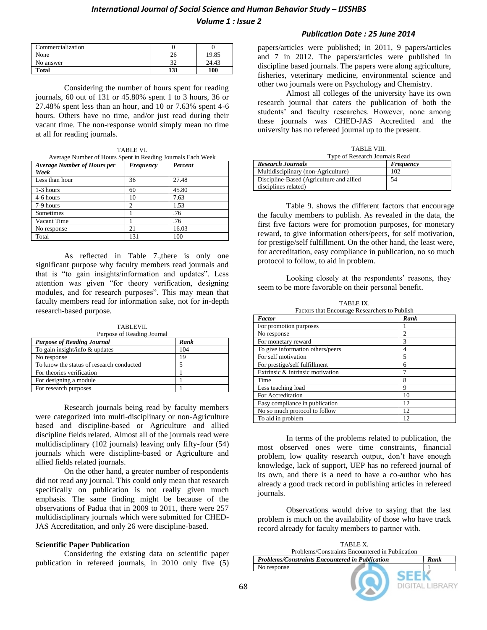# *International Journal of Social Science and Human Behavior Study - IJSSHBS*

*Volume 1 : Issue 2*

| Commercialization |     |       |
|-------------------|-----|-------|
| None              |     | 19.85 |
| No answer         |     | 24.43 |
| <b>Total</b>      | 131 | 100   |

Considering the number of hours spent for reading journals, 60 out of 131 or 45.80% spent 1 to 3 hours, 36 or 27.48% spent less than an hour, and 10 or 7.63% spent 4-6 hours. Others have no time, and/or just read during their vacant time. The non-response would simply mean no time at all for reading journals.

| TABLE VI.                                                   |  |
|-------------------------------------------------------------|--|
| Average Number of Hours Spent in Reading Journals Each Week |  |

| <b>Average Number of Hours per</b> | Frequency      | Percent |
|------------------------------------|----------------|---------|
| Week                               |                |         |
| Less than hour                     | 36             | 27.48   |
| 1-3 hours                          | 60             | 45.80   |
| 4-6 hours                          | 10             | 7.63    |
| 7-9 hours                          | $\overline{c}$ | 1.53    |
| Sometimes                          |                | .76     |
| Vacant Time                        |                | .76     |
| No response                        | 21             | 16.03   |
| Total                              | 131            | 100     |

As reflected in Table 7.,there is only one significant purpose why faculty members read journals and that is "to gain insights/information and updates". Less attention was given "for theory verification, designing modules, and for research purposes". This may mean that faculty members read for information sake, not for in-depth research-based purpose.

TABLEVII. Purpose of Reading Journal

| <b>Purpose of Reading Journal</b>        | Rank |
|------------------------------------------|------|
| To gain insight/info & updates           | 104  |
| No response                              | 19   |
| To know the status of research conducted |      |
| For theories verification                |      |
| For designing a module                   |      |
| For research purposes                    |      |

Research journals being read by faculty members were categorized into multi-disciplinary or non-Agriculture based and discipline-based or Agriculture and allied discipline fields related. Almost all of the journals read were multidisciplinary (102 journals) leaving only fifty-four (54) journals which were discipline-based or Agriculture and allied fields related journals.

On the other hand, a greater number of respondents did not read any journal. This could only mean that research specifically on publication is not really given much emphasis. The same finding might be because of the observations of Padua that in 2009 to 2011, there were 257 multidisciplinary journals which were submitted for CHED-JAS Accreditation, and only 26 were discipline-based.

#### **Scientific Paper Publication**

Considering the existing data on scientific paper publication in refereed journals, in 2010 only five (5)

#### *Publication Date : 25 June 2014*

papers/articles were published; in 2011, 9 papers/articles and 7 in 2012. The papers/articles were published in discipline based journals. The papers were along agriculture, fisheries, veterinary medicine, environmental science and other two journals were on Psychology and Chemistry.

Almost all colleges of the university have its own research journal that caters the publication of both the students' and faculty researches. However, none among these journals was CHED-JAS Accredited and the university has no refereed journal up to the present.

TABLE VIII.

| 1.73131.12.2111.                         |           |  |
|------------------------------------------|-----------|--|
| Type of Research Journals Read           |           |  |
| <b>Research Journals</b>                 | Frequency |  |
| Multidisciplinary (non-Agriculture)      | 102       |  |
| Discipline-Based (Agriculture and allied | 54        |  |
| disciplines related)                     |           |  |

Table 9. shows the different factors that encourage the faculty members to publish. As revealed in the data, the first five factors were for promotion purposes, for monetary reward, to give information others/peers, for self motivation, for prestige/self fulfillment. On the other hand, the least were, for accreditation, easy compliance in publication, no so much protocol to follow, to aid in problem.

Looking closely at the respondents' reasons, they seem to be more favorable on their personal benefit.

TABLE IX. Factors that Encourage Researchers to Publish

| Pactors that Encourage Researchers to Fublish |      |  |
|-----------------------------------------------|------|--|
| <b>Factor</b>                                 | Rank |  |
| For promotion purposes                        |      |  |
| No response                                   | 2    |  |
| For monetary reward                           | 3    |  |
| To give information others/peers              | 4    |  |
| For self motivation                           | 5    |  |
| For prestige/self fulfillment                 | 6    |  |
| Extrinsic & intrinsic motivation              | 7    |  |
| Time                                          | 8    |  |
| Less teaching load                            | 9    |  |
| For Accreditation                             | 10   |  |
| Easy compliance in publication                | 12   |  |
| No so much protocol to follow                 | 12   |  |
| To aid in problem                             | 12   |  |
|                                               |      |  |

In terms of the problems related to publication, the most observed ones were time constraints, financial problem, low quality research output, don't have enough knowledge, lack of support, UEP has no refereed journal of its own, and there is a need to have a co-author who has already a good track record in publishing articles in refereed journals.

Observations would drive to saying that the last problem is much on the availability of those who have track record already for faculty members to partner with.